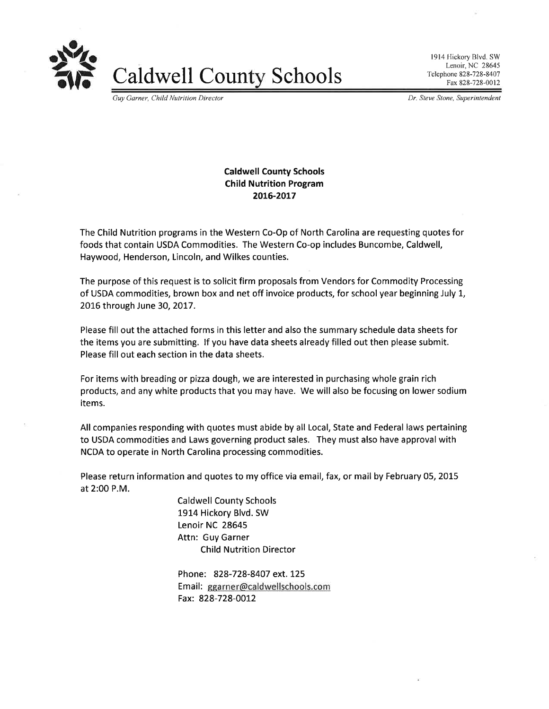

Caldwell County Schools

l9l4 Hickory Blvd. SW Lenoir, NC 28645 Telephone 828-728-8407 Fax 828-728-0012

Guy Garner, Child Nutrition Director **Dr. Steve Stone, Superintendent** Dr. Steve Stone, Superintendent

## Caldwell County Schools Child Nutrition Program 20t6-20L7

The Child Nutrition programs in the Western Co-Op of North Carolina are requesting quotes for foods that contain USDA Commodities. The Western Co-op includes Buncombe, Caldwell, Haywood, Henderson, Lincoln, and Wilkes counties.

The purpose of this request is to solicit firm proposals from Vendors for Commodity Processing of USDA commodities, brown box and net off invoice products, for school year beginning July 1, 2016 through June 30,2OI7.

Please fill out the attached forms in this letter and also the summary schedule data sheets for the items you are submitting. lf you have data sheets already filled out then please submit. Please fill out each section in the data sheets.

For items with breading or pizza dough, we are interested in purchasing whole grain rich products, and any white products that you may have. We will also be focusing on lower sodium items.

All companies responding with quotes must abide by all Local, State and Federal laws pertaining to USDA commodities and Laws governing product sales. They must also have approval with NCDA to operate in North Carolina processing commodities.

Please return information and quotes to my office via email, fax, or mail by February 05, 2015 at 2:00 P.M.

> Caldwell County Schools 1914 Hickory Blvd. SW Lenoir NC 28645 Attn: Guy Garner Child Nutrition Director

Phone: 828-728-8407 ext. 125 Email: ggarner@caldwellschools.com Fax: 828-728-0012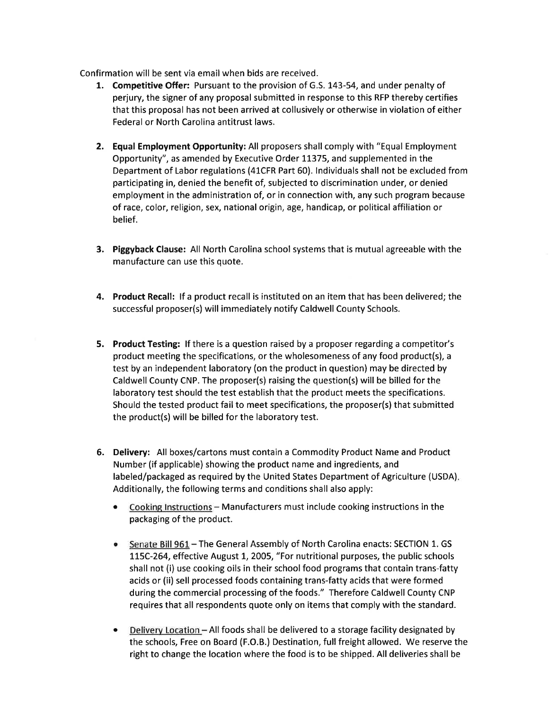Confirmation will be sent via email when bids are received.

- 1. Competitive Offer: Pursuant to the provision of G.S. L43-54, and under penalty of perjury, the signer of any proposal submitted in response to this RFP thereby certifies that this proposal has not been arrived at collusively or otherwise in violation of either Federal or North Carolina antitrust laws.
- 2. Equal Employment Opportunity: All proposers shall comply with "Equal Employment Opportunity", as amended by Executive Order 1L375, and supplemented in the Department of Labor regulations (41CFR Part 60). lndividuals shall not be excluded from participating in, denied the benefit of, subjected to discrimination under, or denied employment in the administration of, or in connection with, any such program because of race, color, religion, sex, national origin, age, handicap, or political affiliation or belief.
- 3. Piggyback Clause: All North Carolina school systems that is mutual agreeable with the manufacture can use this quote.
- 4. Product Recall: lf a product recall is instituted on an item that has been delivered; the successful proposer(s) will immediately notify Caldwell County Schools.
- 5. Product Testing: lf there is a question raised by a proposer regarding a competitor's product meeting the specifications, or the wholesomeness of any food product(s), <sup>a</sup> test by an independent laboratory (on the product in question) may be directed by Caldwell County CNP. The proposer(s) raising the question(s) will be billed for the laboratory test should the test establish that the product meets the specifications. Should the tested product fail to meet specifications, the proposer(s) that submitted the product(s) will be billed for the laboratory test.
- 6. Delivery: All boxes/cartons must contain a Commodity Product Name and Product Number (if applicable) showing the product name and ingredients, and labeled/packaged as required by the United States Department of Agriculture (USDA) Additionally, the following terms and conditions shall also apply:
	- o Cooking lnstructions Manufacturers must include cooking instructions in the packaging of the product.
	- Senate Bill 96L The General Assembly of North Carolina enacts: SECTION 1. GS 115C-264, effective August 1, 2005, "For nutritional purposes, the public schools shall not (i) use cooking oils in their school food programs that contain trans-fatty acids or (ii) sell processed foods containing trans-fatty acids that were formed during the commercial processing of the foods." Therefore Caldwell County CNP requires that all respondents quote only on items that comply with the standard. a
	- Delivery Location All foods shall be delivered to a storage facility designated by the schools, Free on Board (F.O.B.) Destination, full freight allowed. We reserve the right to change the location where the food is to be shipped. All deliveries shall be  $\bullet$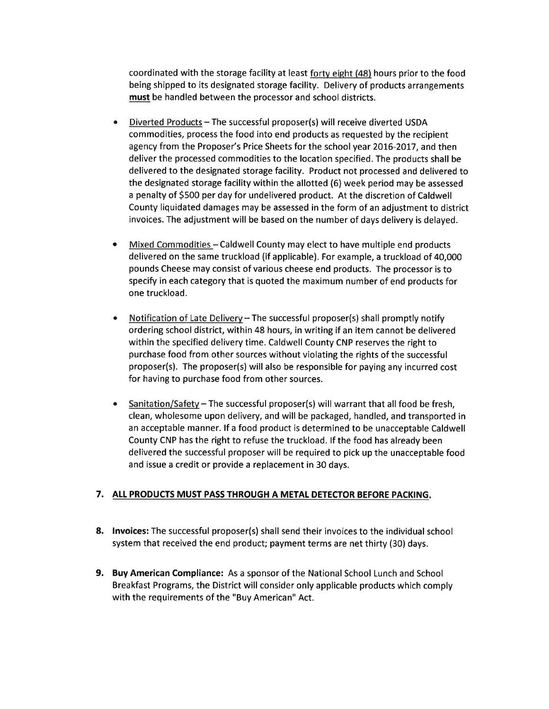coordinated with the storage facility at least forty eight (48) hours prior to the food being shipped to its designated storage facility. Delivery of products arrangements must be handled between the processor and school districts.

- Diverted Products The successful proposer(s) will receive diverted USDA commodities, process the food into end products as requested by the recipient agency from the Proposer's Price Sheets for the school year 2016-2017, and then deliver the processed commodities to the location specified. The products shall be delivered to the designated storage facility. Product not processed and delivered to the designated storage facility within the allotted (6) week period may be assessed a penalty of 5500 per day for undelivered product. At the discretion of Caldwell County liquidated damages may be assessed in the form of an adjustment to district invoices. The adjustment will be based on the number of days delivery is delayed.
- Mixed Commodities Caldwell County may elect to have multiple end products delivered on the same truckload (if applicable). For example, a truckload of 40,000 pounds Cheese may consist of various cheese end products. The processor is to specify in each category that is quoted the maximum number of end products for one truckload.
- Notification of Late Delivery The successful proposer(s) shall promptly notify ordering school district, within 48 hours, in writing if an item cannot be delivered within the specified delivery time. Caldwell County CNP reserves the right to purchase food from other sources without violating the rights of the successful proposer(s). The proposer(s) will also be responsible for paying any incurred cost for having to purchase food from other sources.
- Sanitation/Safety The successful proposer(s) will warrant that all food be fresh, clean, wholesome upon delivery, and will be packaged, handled, and transported in an acceptable manner. lf a food product is determined to be unacceptable Caldwell County CNP has the right to refuse the truckload. lf the food has already been delivered the successful proposer will be required to pick up the unacceptable food and issue a credit or provide a replacement in 30 days.

### 7. ALL PRODUCTS MUST PASS THROUGH A METAL DETECTOR BEFORE PACKING.

- 8. lnvoices: The successful proposer(s) shall send their invoices to the individual school system that received the end product; payment terms are net thirty (30) days.
- 9. Buy American Compliance: As a sponsor of the National School Lunch and School Breakfast Programs, the District will consider only applicable products which comply with the requirements of the "Buy American" Act.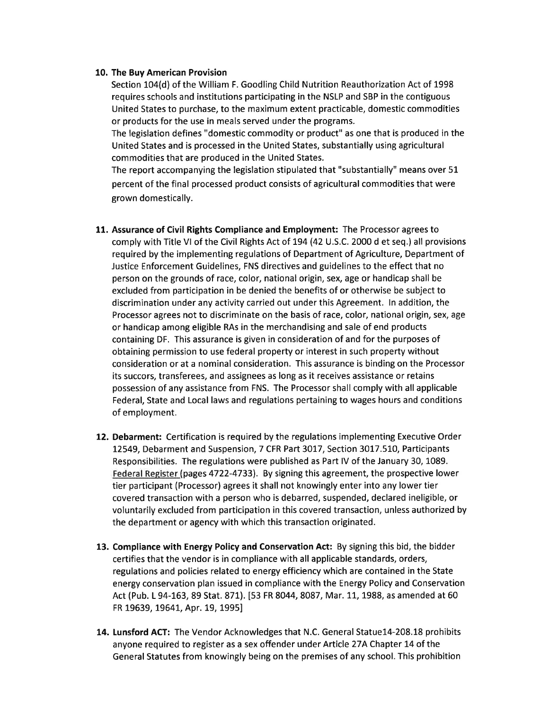#### 10. The Buy American Provision

Section 104(d) of the William F. Goodling Child Nutrition Reauthorization Act of 1998 requires schools and institutions participating in the NSLP and SBP in the contiguous United States to purchase, to the maximum extent practicable, domestic commodities or products for the use in meals served under the programs.

The legislation defines "domestic commodity or product" as one that is produced in the United States and is processed in the United States, substantially using agricultural commodities that are produced in the United States.

The report accompanying the legislation stipulated that "substantially" means over 5L percent of the final processed product consists of agricultural commodities that were grown domestically.

- 11. Assurance of Civil Rights Compliance and Employment: The Processor agrees to comply with Title VI of the Civil Rights Act of 194 (42 U.S.C. 2000 d et seq.) all provisions required by the implementing regulations of Department of Agriculture, Department of Justice Enforcement Guidelines, FNS directives and guidelines to the effect that no person on the grounds of race, color, national origin, sex, age or handicap shall be excluded from participation in be denied the benefits of or otherwise be subject to discrimination under any activity carried out under this Agreement. ln addition, the Processor agrees not to discriminate on the basis of race, color, national origin, sex, age or handicap among eligible RAs in the merchandising and sale of end products containing DF. This assurance is given in consideration of and for the purposes of obtaining permission to use federal property or interest in such property without consideration or at a nominal consideration. This assurance is binding on the Processor its succors, transferees, and assignees as long as it receives assistance or retains possession of any assistance from FNS. The Processor shall comply with all applicable Federal, State and Local laws and regulations pertaining to wages hours and conditions of employment.
- 12. Debarment: Certification is required by the regulations implementing Executive Order L2549, Debarment and Suspension, 7 CFR Part 3017, Section 3017.510, Participants Responsibilities. The regulations were published as Part lV of the January 30, 1089. Federal Register (pages 4722-4733). By signing this agreement, the prospective lower tier participant (Processor) agrees it shall not knowingly enter into any lower tier covered transaction with a person who is debarred, suspended, declared ineligible, or voluntarily excluded from participation in this covered transaction, unless authorized by the department or agency with which this transaction originated.
- 13. Compliance with Energy Policy and Conservation Act: By signing this bid, the bidder certifies that the vendor is in compliance with all applicable standards, orders, regulations and policies related to energy efficiency which are contained in the State energy conservation plan issued in compliance with the Energy Policy and Conservation Act (Pub. L 94-163, 89 Stat. 871). [53 FR 8044, 8087, Mar. 11, 1988, as amended at 60 FR 19639, 19641, Apr. 19, 1995]
- 14. Lunsford ACT: The Vendor Acknowledges that N.C. General Statue14-208.18 prohibits anyone required to register as a sex offender under Article 274 Chapter 14 of the General Statutes from knowingly being on the premises of any school. This prohibition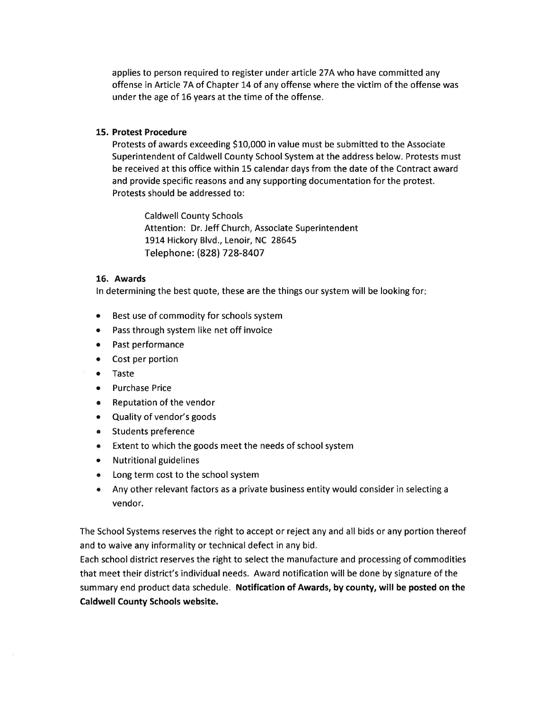applies to person required to register under article 274 who have committed any offense in Article 7A of Chapter 14 of any offense where the victim of the offense was under the age of 16 years at the time of the offense.

#### 15. Protest Procedure

Protests of awards exceeding \$10,000 in value must be submitted to the Associate Superintendent of Caldwell County School System at the address below. Protests must be received at this office within L5 calendar days from the date of the Contract award and provide specific reasons and any supporting documentation for the protest. Protests should be addressed to:

Caldwell County Schools Attention: Dr. Jeff Church, Associate Superintendent 1914 Hickory Blvd., Lenoir, NC 28645 Telephone: (828) 7 28-8407

#### 16. Awards

ln determining the best quote, these are the things our system will be looking for

- o Best use of commodity for schools system
- o Pass through system like net off invoice
- o Past performance
- Cost per portion
- o Taste
- ¡ Purchase Price
- . Reputation of the vendor
- Quality of vendor's goods
- o Students preference
- ¡ Extent to which the goods meet the needs of school system
- o Nutritionalguidelines
- Long term cost to the school system
- . Any other relevant factors as a private business entity would consider in selecting <sup>a</sup> vendor.

The School Systems reserves the right to accept or reject any and all bids or any portion thereof and to waive any informality or technical defect in any bid.

Each school district reserves the right to select the manufacture and processing of commodities that meet their district's individual needs. Award notification will be done by signature of the summary end product data schedule. Notification of Awards, by county, will be posted on the Caldwell County Schools website.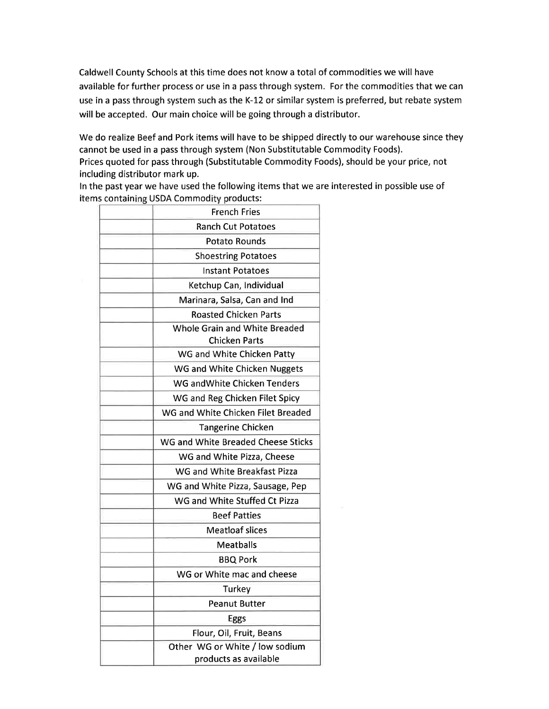Caldwell County Schools at this time does not know a total of commodities we will have available for further process or use in a pass through system. For the commodities that we can use in a pass through system such as the K-L2 or similar system is preferred, but rebate system will be accepted. Our main choice will be going through a distributor.

We do realize Beef and Pork items will have to be shipped directly to our warehouse since they cannot be used in a pass through system (Non Substitutable Commodity Foods).

Prices quoted for pass through (Substitutable Commodity Foods), should be your price, not including distributor mark up.

ln the past year we have used the following items that we are interested in possible use of items containing USDA Commodity products:

| <b>French Fries</b>                                   |
|-------------------------------------------------------|
| <b>Ranch Cut Potatoes</b>                             |
| <b>Potato Rounds</b>                                  |
| <b>Shoestring Potatoes</b>                            |
| <b>Instant Potatoes</b>                               |
| Ketchup Can, Individual                               |
| Marinara, Salsa, Can and Ind                          |
| <b>Roasted Chicken Parts</b>                          |
| Whole Grain and White Breaded<br><b>Chicken Parts</b> |
| WG and White Chicken Patty                            |
| WG and White Chicken Nuggets                          |
| WG and White Chicken Tenders                          |
| WG and Reg Chicken Filet Spicy                        |
| WG and White Chicken Filet Breaded                    |
| <b>Tangerine Chicken</b>                              |
| WG and White Breaded Cheese Sticks                    |
| WG and White Pizza, Cheese                            |
| WG and White Breakfast Pizza                          |
| WG and White Pizza, Sausage, Pep                      |
| WG and White Stuffed Ct Pizza                         |
| <b>Beef Patties</b>                                   |
| <b>Meatloaf slices</b>                                |
| Meatballs                                             |
| <b>BBQ Pork</b>                                       |
| WG or White mac and cheese                            |
| Turkey                                                |
| <b>Peanut Butter</b>                                  |
| <b>Eggs</b>                                           |
| Flour, Oil, Fruit, Beans                              |
| Other WG or White / low sodium                        |
| products as available                                 |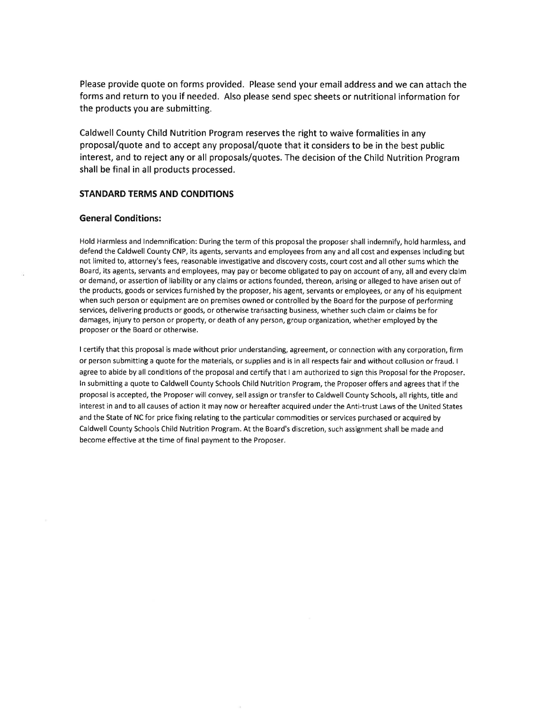Please provide quote on forms provided. Please send your email address and we can attach the forms and return to you if needed. Also please send spec sheets or nutritional information for the products you are submitting.

Caldwell County Child Nutrition Program reserves the right to waive formalities in any proposal/quote and to accept any proposal/quote that it considers to be in the best public interest, and to reject any or all proposals/quotes. The decision of the Child Nutrition Program shall be final in all products processed.

#### STANDARD TERMS AND CONDITIONS

#### General Conditions:

Hold Harmless and lndemnification: During the term of this proposal the proposer shall indemnify, hold harmless, and defend the Caldwell County CNP, its agents, servants and employees from any and all cost and expenses including but not limited to, attorney's fees, reasonable investigative and discovery costs, court cost and all other sums which the Board, its agents, servants and employees, may pay or become obligated to pay on account of any, all and every claim or demand, or assertion of liability or any claims or actions founded, thereon, arising or alleged to have arisen out of the products, goods or services furnished by the proposer, his agent, servants or employees, or any of his equipment when such person or equipment are on premises owned or controlled by the Board for the purpose of performing services, delivering products or goods, or otherwise transacting business, whether such claim or claims be for damages, injury to person or property, or death of any person, group organization, whether employed by the proposer or the Board or otherwise.

I certify that this proposal is made without prior understanding, agreement, or connection with any corporation, firm or person submitting a quote for the materials, or supplies and is in all respects fair and without collusion or fraud. <sup>I</sup> agree to abide by all conditions of the proposal and certify that I am authorized to sign this Proposal for the Proposer. ln submitting a quote to Caldwell County Schools Child Nutrition Program, the Proposer offers and agrees that if the proposal is accepted, the Proposer will convey, sell assign or transfer to Caldwell County Schools, all rights, title and interest in and to all causes of action it may now or hereafter acquired under the Anti-trust Laws of the United States and the State of NC for price fixing relating to the particular commodities or services purchased or acquired by Caldwell County Schools Child Nutrition Program. At the Board's discretion, such assignment shall be made and become effective at the time of final payment to the Proposer.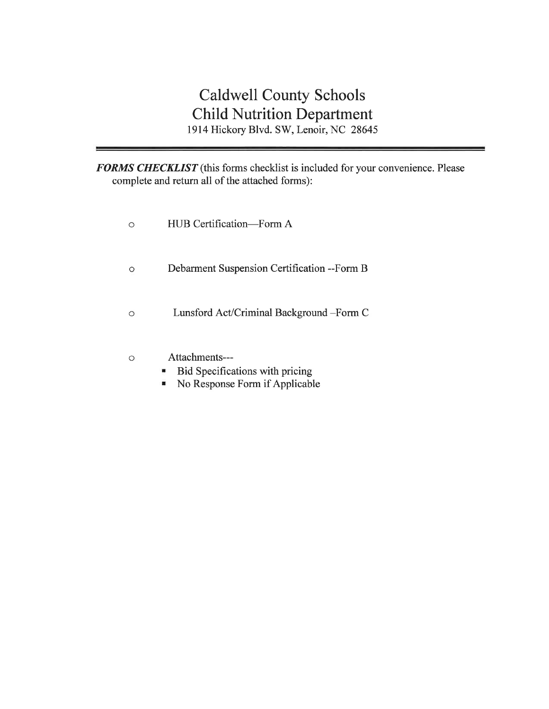# Caldwell County Schools Child Nutrition Department 1914 Hickory Blvd. SW, Lenoir, NC 28645

FORMS CHECKLIST (this forms checklist is included for your convenience. Please complete and return all of the attached forms):

- o HUB Certification-Form A
- Debarment Suspension Certification --Form B  $\circ$
- o Lunsford Act/Criminal Background -Form <sup>C</sup>
- Attachments---  $\circ$ 
	- Bid Specifications with pricing ×
	- No Response Form if Applicable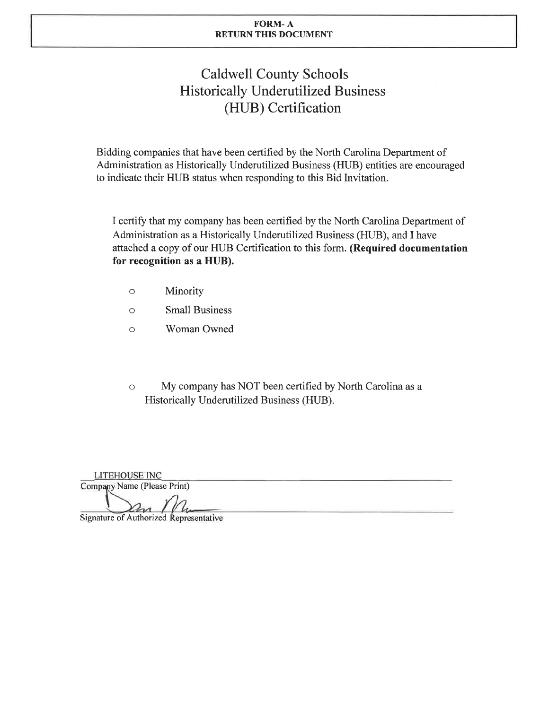#### FORM- A RETURN THIS DOCUMENT

# Caldwell County Schools Historically Underutilized Business (HUB) Certification

Bidding companies that have been certified by the North Carolina Department of Administration as Historically Underutilized Business (HUB) entities are encouraged to indicate their HUB status when responding to this Bid Invitation.

I certify that my company has been certified by the North Carolina Department of Administration as a Historically Underutilized Business (HUB), and I have attached a copy of our HUB Certification to this form. (Required documentation for recognition as a HUB).

- Minority  $\circ$
- Small Business o
- Woman Owned  $\circ$
- () My company has NOT been certified by North Carolina as a Historically Underutilized Business (HUB).

LITEHOUSE INC Company Name (Please Print)

Signature of Authorized Representative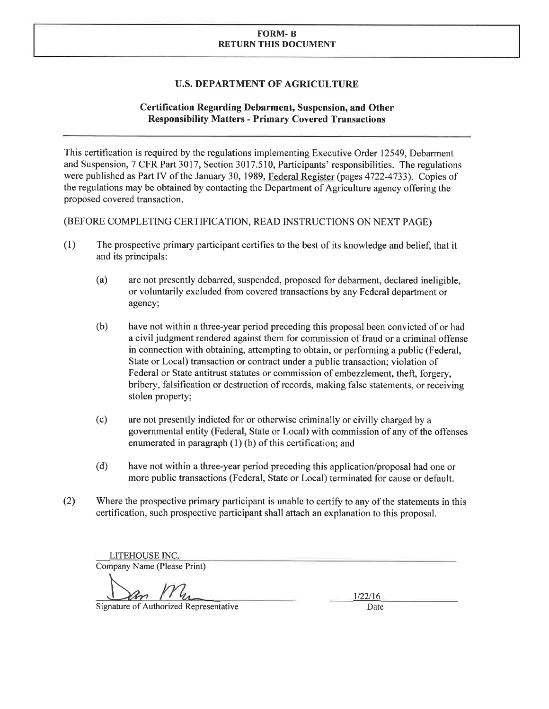#### FORM- B RETURN THIS DOCUMENT

## U.S. DEPARTMENT OF AGRICULTURE

## Certification Regarding Debarment, Suspension, and Other Responsibility Matters - Primary Covered Transactions

This certification is required by the regulations implementing Executive Order 12549, Debarment and Suspension, 7 CFR Part 3017, Section 3017.510, Participants' responsibilities. The regulations were published as Part IV of the January 30, 1989, Federal Register (pages 4722-4733). Copies of the regulations may be obtained by contacting the Department of Agriculture agency offering the proposed covered transaction.

(BEFORE COMPLETING CERTIFICATION, READ INSTRUCTIONS ON NEXT PAGE)

- (l) The prospective primary participant certifies to the best of its knowledge and belief, that it and its principals:
	- (a) are not presently debarred, suspended, proposed for debarment, declared ineligible, or voluntarily excluded from covered transactions by any Federal department or agency;
	- (b) have not within a three-year period preceding this proposal been convicted of or had a civil judgment rendered against them for commission of fraud or a criminal offense in connection with obtaining, attempting to obtain, or performing a public (Federal, State or Local) transaction or contract under a public transaction; violation of Federal or State antitrust statutes or commission of embezzlement, theft, forgery, bribery, falsification or destruction of records, making false statements, or receiving stolen property;
	- (c) are not presently indicted for or otherwise criminally or civilly charged by <sup>a</sup> governmental entity (Federal, State or Local) with commission of any of the offenses enumerated in paragraph (1) (b) of this certification; and
	- (d) have not within a three-year period preceding this application/proposal had one or more public transactions (Federal, State or Local) terminated for cause or default.
- (2) Where the prospective primary participant is unable to certify to any of the statements in this certification, such prospective participant shall attach an explanation to this proposal.

LITEHOUSE INC. Company Name (Please Print)

 $\frac{m_{1/22/16}}{m_{1/22/16}}$ 

Signature of Authorized Representative Date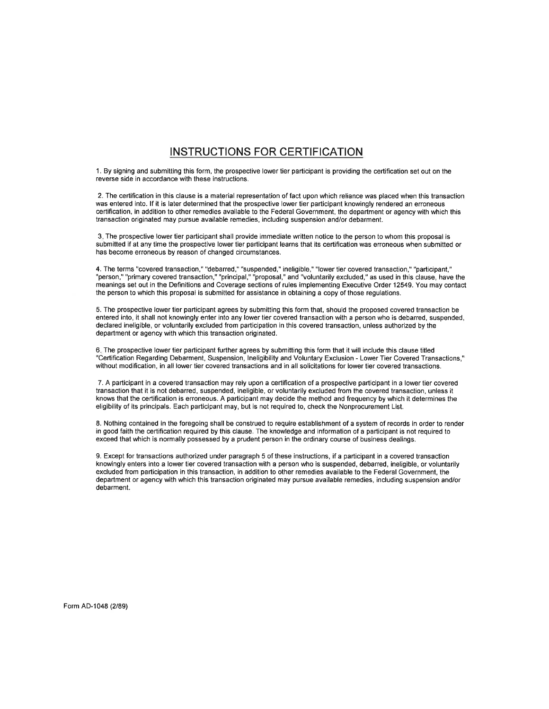## INSTRUCTIONS FOR CERTIFICATION

1. By signing and submitting this form, the prospective lower tier participant is providing the certification set out on the reverse side in accordance with these instructions.

2. The certification in this clause is a material representation of fact upon which reliance was placed when this transaction was entered into. lf it is later determined that the prospective lower tier participant knowingly rendered an erroneous certification, in addition to other remedies available to the Federal Government, the department or agency with which this transaction originated may pursue available remedies, including suspension and/or debarment.

3. The prospective lower tier participant shall provide immediate written notice to the person to whom this proposal is submitted if at any time the prospective lower tier participant learns that its certification was erroneous when submitted or has become erroneous by reason of changed circumstances.

4. The terms "covered transaction," "debarred," "suspended," ineligible," "lower tier covered transaction," "participant," "person," "primary covered transaction," "principal," "proposal," and "voluntarily excluded," as used in this clause, have the meanings set out in the Definitions and Coverage sections of rules implementing Executive Order 12549. You may contact the person to which this proposal is submitted for assistance in obtaining a copy of those regulations.

5. The prospective lower tier participant agrees by submitting this form that, should the proposed covered transaction be entered into, it shall not knowingly enter into any lower tier covered transaction with a person who is debarred, suspended, declared ineligible, or voluntarily excluded from participation in this covered transaction, unless authorized by the department or agency with which this transaction originated.

6. The prospective lower tier participant further agrees by submitting this form that it will include this clause titled "Certification Regarding Debarment, Suspension, Ineligibility and Voluntary Exclusion - Lower Tier Covered Transactions," without modification, in all lower tier covered transactions and in all solicitations for lower tier covered transactions.

7. A participant in a covered transaction may rely upon a certification of a prospective participant in a lower tier covered transaction that it is not debarred, suspended, ineligible, or voluntarily excluded from the covered transaction, unless it knows that the certification is erroneous. A participant may decide the method and frequency by which it determines the eligibility of its principals. Each participant may, but is not required to, check the Nonprocurement List.

8. Nothing contained in the foregoing shall be construed to require establishment of a system of records in order to render in good faith the certification required by this clause. The knowledge and information of a participant is not required to exceed that which is normally possessed by a prudent person in the ordinary course of business dealings.

9. Except for transactions authorized under paragraph 5 of these instructions, if a participant in a covered transaction knowingly enters into a lower tier covered transaction with a person who is suspended, debarred, ineligible, or voluntarily excluded from participation in this transaction, in addition to other remedies available to the Federal Government, the department or agency with which this transaction originated may pursue available remedies, including suspension and/or debarment.

Form AD-1048 (2/89)